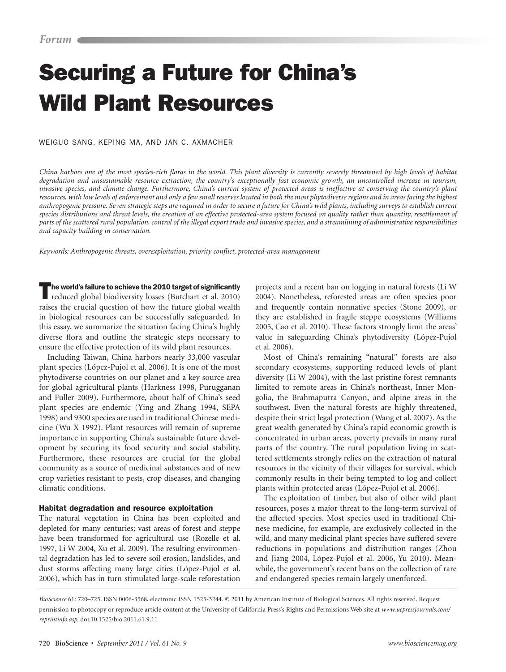# Securing a Future for China's Wild Plant Resources

Weiguo Sang, Keping Ma, and Jan C. Axmacher

*China harbors one of the most species-rich floras in the world. This plant diversity is currently severely threatened by high levels of habitat degradation and unsustainable resource extraction, the country's exceptionally fast economic growth, an uncontrolled increase in tourism, invasive species, and climate change. Furthermore, China's current system of protected areas is ineffective at conserving the country's plant resources, with low levels of enforcement and only a few small reserves located in both the most phytodiverse regions and in areas facing the highest anthropogenic pressure. Seven strategic steps are required in order to secure a future for China's wild plants, including surveys to establish current species distributions and threat levels, the creation of an effective protected-area system focused on quality rather than quantity, resettlement of parts of the scattered rural population, control of the illegal export trade and invasive species, and a streamlining of administrative responsibilities and capacity building in conservation.*

*Keywords: Anthropogenic threats, overexploitation, priority conflict, protected-area management*

 $^\textsf{I}$ he world's failure to achieve the 2010 target of significantly reduced global biodiversity losses (Butchart et al. 2010) raises the crucial question of how the future global wealth in biological resources can be successfully safeguarded. In this essay, we summarize the situation facing China's highly diverse flora and outline the strategic steps necessary to ensure the effective protection of its wild plant resources.

Including Taiwan, China harbors nearly 33,000 vascular plant species (López-Pujol et al. 2006). It is one of the most phytodiverse countries on our planet and a key source area for global agricultural plants (Harkness 1998, Purugganan and Fuller 2009). Furthermore, about half of China's seed plant species are endemic (Ying and Zhang 1994, SEPA 1998) and 9300 species are used in traditional Chinese medicine (Wu X 1992). Plant resources will remain of supreme importance in supporting China's sustainable future development by securing its food security and social stability. Furthermore, these resources are crucial for the global community as a source of medicinal substances and of new crop varieties resistant to pests, crop diseases, and changing climatic conditions.

## Habitat degradation and resource exploitation

The natural vegetation in China has been exploited and depleted for many centuries; vast areas of forest and steppe have been transformed for agricultural use (Rozelle et al. 1997, Li W 2004, Xu et al. 2009). The resulting environmental degradation has led to severe soil erosion, landslides, and dust storms affecting many large cities (López-Pujol et al. 2006), which has in turn stimulated large-scale reforestation

projects and a recent ban on logging in natural forests (Li W 2004). Nonetheless, reforested areas are often species poor and frequently contain nonnative species (Stone 2009), or they are established in fragile steppe ecosystems (Williams 2005, Cao et al. 2010). These factors strongly limit the areas' value in safeguarding China's phytodiversity (López-Pujol et al. 2006).

Most of China's remaining "natural" forests are also secondary ecosystems, supporting reduced levels of plant diversity (Li W 2004), with the last pristine forest remnants limited to remote areas in China's northeast, Inner Mongolia, the Brahmaputra Canyon, and alpine areas in the southwest. Even the natural forests are highly threatened, despite their strict legal protection (Wang et al. 2007). As the great wealth generated by China's rapid economic growth is concentrated in urban areas, poverty prevails in many rural parts of the country. The rural population living in scattered settlements strongly relies on the extraction of natural resources in the vicinity of their villages for survival, which commonly results in their being tempted to log and collect plants within protected areas (López-Pujol et al. 2006).

The exploitation of timber, but also of other wild plant resources, poses a major threat to the long-term survival of the affected species. Most species used in traditional Chinese medicine, for example, are exclusively collected in the wild, and many medicinal plant species have suffered severe reductions in populations and distribution ranges (Zhou and Jiang 2004, López-Pujol et al. 2006, Yu 2010). Meanwhile, the government's recent bans on the collection of rare and endangered species remain largely unenforced.

*BioScience* 61: 720–725. ISSN 0006-3568, electronic ISSN 1525-3244. © 2011 by American Institute of Biological Sciences. All rights reserved. Request permission to photocopy or reproduce article content at the University of California Press's Rights and Permissions Web site at *www.ucpressjournals.com/ reprintinfo.asp.* doi:10.1525/bio.2011.61.9.11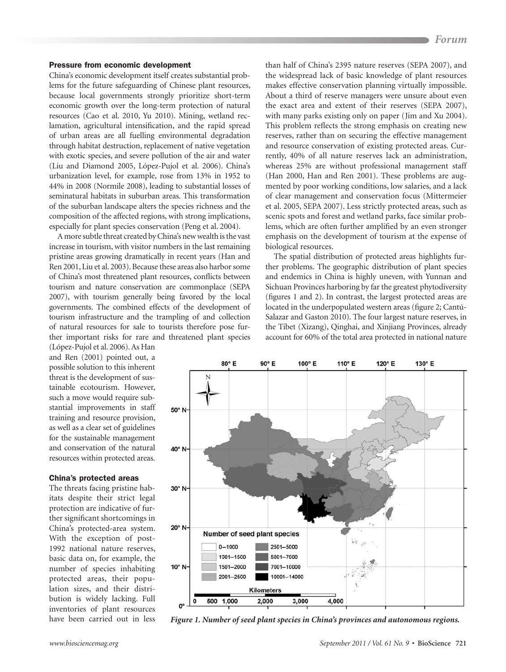# Pressure from economic development

China's economic development itself creates substantial problems for the future safeguarding of Chinese plant resources, because local governments strongly prioritize short-term economic growth over the long-term protection of natural resources (Cao et al. 2010, Yu 2010). Mining, wetland reclamation, agricultural intensification, and the rapid spread of urban areas are all fuelling environmental degradation through habitat destruction, replacement of native vegetation with exotic species, and severe pollution of the air and water (Liu and Diamond 2005, López-Pujol et al. 2006). China's urbanization level, for example, rose from 13% in 1952 to 44% in 2008 (Normile 2008), leading to substantial losses of seminatural habitats in suburban areas. This transformation of the suburban landscape alters the species richness and the composition of the affected regions, with strong implications, especially for plant species conservation (Peng et al. 2004).

A more subtle threat created by China's new wealth is the vast increase in tourism, with visitor numbers in the last remaining pristine areas growing dramatically in recent years (Han and Ren 2001, Liu et al. 2003). Because these areas also harbor some of China's most threatened plant resources, conflicts between tourism and nature conservation are commonplace (SEPA 2007), with tourism generally being favored by the local governments. The combined effects of the development of tourism infrastructure and the trampling of and collection of natural resources for sale to tourists therefore pose further important risks for rare and threatened plant species

(López-Pujol et al. 2006). As Han and Ren (2001) pointed out, a possible solution to this inherent threat is the development of sustainable ecotourism. However, such a move would require substantial improvements in staff training and resource provision, as well as a clear set of guidelines for the sustainable management and conservation of the natural resources within protected areas.

# China's protected areas

The threats facing pristine habitats despite their strict legal protection are indicative of further significant shortcomings in China's protected-area system. With the exception of post-1992 national nature reserves, basic data on, for example, the number of species inhabiting protected areas, their population sizes, and their distribution is widely lacking. Full inventories of plant resources have been carried out in less

than half of China's 2395 nature reserves (SEPA 2007), and the widespread lack of basic knowledge of plant resources makes effective conservation planning virtually impossible. About a third of reserve managers were unsure about even the exact area and extent of their reserves (SEPA 2007), with many parks existing only on paper (Jim and Xu 2004). This problem reflects the strong emphasis on creating new reserves, rather than on securing the effective management and resource conservation of existing protected areas. Currently, 40% of all nature reserves lack an administration, whereas 25% are without professional management staff (Han 2000, Han and Ren 2001). These problems are augmented by poor working conditions, low salaries, and a lack of clear management and conservation focus (Mittermeier et al. 2005, SEPA 2007). Less strictly protected areas, such as scenic spots and forest and wetland parks, face similar problems, which are often further amplified by an even stronger emphasis on the development of tourism at the expense of biological resources.

The spatial distribution of protected areas highlights further problems. The geographic distribution of plant species and endemics in China is highly uneven, with Yunnan and Sichuan Provinces harboring by far the greatest phytodiversity (figures 1 and 2). In contrast, the largest protected areas are located in the underpopulated western areas (figure 2; Cantú-Salazar and Gaston 2010). The four largest nature reserves, in the Tibet (Xizang), Qinghai, and Xinjiang Provinces, already account for 60% of the total area protected in national nature



*Figure 1. Number of seed plant species in China's provinces and autonomous regions.*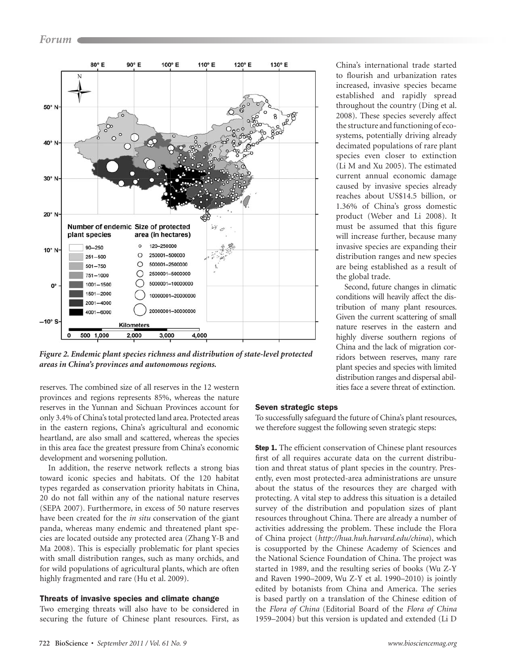

*Figure 2. Endemic plant species richness and distribution of state-level protected areas in China's provinces and autonomous regions.*

reserves. The combined size of all reserves in the 12 western provinces and regions represents 85%, whereas the nature reserves in the Yunnan and Sichuan Provinces account for only 3.4% of China's total protected land area. Protected areas in the eastern regions, China's agricultural and economic heartland, are also small and scattered, whereas the species in this area face the greatest pressure from China's economic development and worsening pollution.

In addition, the reserve network reflects a strong bias toward iconic species and habitats. Of the 120 habitat types regarded as conservation priority habitats in China, 20 do not fall within any of the national nature reserves (SEPA 2007). Furthermore, in excess of 50 nature reserves have been created for the *in situ* conservation of the giant panda, whereas many endemic and threatened plant species are located outside any protected area (Zhang Y-B and Ma 2008). This is especially problematic for plant species with small distribution ranges, such as many orchids, and for wild populations of agricultural plants, which are often highly fragmented and rare (Hu et al. 2009).

#### Threats of invasive species and climate change

Two emerging threats will also have to be considered in securing the future of Chinese plant resources. First, as China's international trade started to flourish and urbanization rates increased, invasive species became established and rapidly spread throughout the country (Ding et al. 2008). These species severely affect the structure and functioning of ecosystems, potentially driving already decimated populations of rare plant species even closer to extinction (Li M and Xu 2005). The estimated current annual economic damage caused by invasive species already reaches about US\$14.5 billion, or 1.36% of China's gross domestic product (Weber and Li 2008). It must be assumed that this figure will increase further, because many invasive species are expanding their distribution ranges and new species are being established as a result of the global trade.

Second, future changes in climatic conditions will heavily affect the distribution of many plant resources. Given the current scattering of small nature reserves in the eastern and highly diverse southern regions of China and the lack of migration corridors between reserves, many rare plant species and species with limited distribution ranges and dispersal abilities face a severe threat of extinction.

## Seven strategic steps

To successfully safeguard the future of China's plant resources, we therefore suggest the following seven strategic steps:

**Step 1.** The efficient conservation of Chinese plant resources first of all requires accurate data on the current distribution and threat status of plant species in the country. Presently, even most protected-area administrations are unsure about the status of the resources they are charged with protecting. A vital step to address this situation is a detailed survey of the distribution and population sizes of plant resources throughout China. There are already a number of activities addressing the problem. These include the Flora of China project (*http://hua.huh.harvard.edu/china*), which is cosupported by the Chinese Academy of Sciences and the National Science Foundation of China. The project was started in 1989, and the resulting series of books (Wu Z-Y and Raven 1990–2009, Wu Z-Y et al. 1990–2010) is jointly edited by botanists from China and America. The series is based partly on a translation of the Chinese edition of the *Flora of China* (Editorial Board of the *Flora of China* 1959–2004) but this version is updated and extended (Li D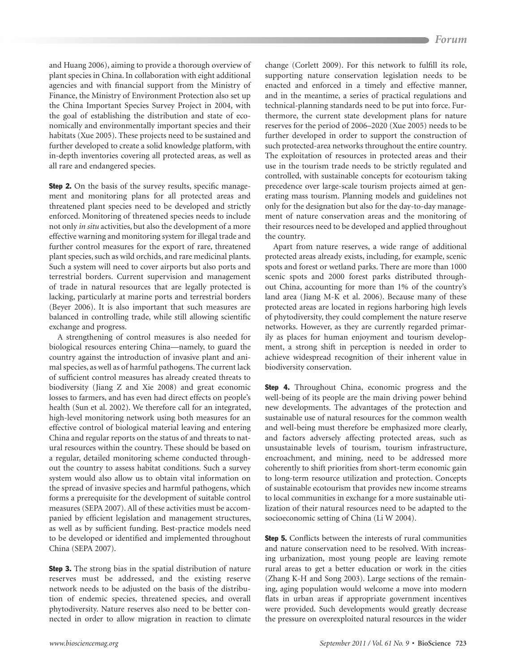and Huang 2006), aiming to provide a thorough overview of plant species in China. In collaboration with eight additional agencies and with financial support from the Ministry of Finance, the Ministry of Environment Protection also set up the China Important Species Survey Project in 2004, with the goal of establishing the distribution and state of economically and environmentally important species and their habitats (Xue 2005). These projects need to be sustained and further developed to create a solid knowledge platform, with in-depth inventories covering all protected areas, as well as all rare and endangered species.

**Step 2.** On the basis of the survey results, specific management and monitoring plans for all protected areas and threatened plant species need to be developed and strictly enforced. Monitoring of threatened species needs to include not only *in situ* activities, but also the development of a more effective warning and monitoring system for illegal trade and further control measures for the export of rare, threatened plant species, such as wild orchids, and rare medicinal plants. Such a system will need to cover airports but also ports and terrestrial borders. Current supervision and management of trade in natural resources that are legally protected is lacking, particularly at marine ports and terrestrial borders (Beyer 2006). It is also important that such measures are balanced in controlling trade, while still allowing scientific exchange and progress.

A strengthening of control measures is also needed for biological resources entering China—namely, to guard the country against the introduction of invasive plant and animal species, as well as of harmful pathogens. The current lack of sufficient control measures has already created threats to biodiversity (Jiang Z and Xie 2008) and great economic losses to farmers, and has even had direct effects on people's health (Sun et al. 2002). We therefore call for an integrated, high-level monitoring network using both measures for an effective control of biological material leaving and entering China and regular reports on the status of and threats to natural resources within the country. These should be based on a regular, detailed monitoring scheme conducted throughout the country to assess habitat conditions. Such a survey system would also allow us to obtain vital information on the spread of invasive species and harmful pathogens, which forms a prerequisite for the development of suitable control measures (SEPA 2007). All of these activities must be accompanied by efficient legislation and management structures, as well as by sufficient funding. Best-practice models need to be developed or identified and implemented throughout China (SEPA 2007).

**Step 3.** The strong bias in the spatial distribution of nature reserves must be addressed, and the existing reserve network needs to be adjusted on the basis of the distribution of endemic species, threatened species, and overall phytodiversity. Nature reserves also need to be better connected in order to allow migration in reaction to climate change (Corlett 2009). For this network to fulfill its role, supporting nature conservation legislation needs to be enacted and enforced in a timely and effective manner, and in the meantime, a series of practical regulations and technical-planning standards need to be put into force. Furthermore, the current state development plans for nature reserves for the period of 2006–2020 (Xue 2005) needs to be further developed in order to support the construction of such protected-area networks throughout the entire country. The exploitation of resources in protected areas and their use in the tourism trade needs to be strictly regulated and controlled, with sustainable concepts for ecotourism taking precedence over large-scale tourism projects aimed at generating mass tourism. Planning models and guidelines not only for the designation but also for the day-to-day management of nature conservation areas and the monitoring of their resources need to be developed and applied throughout the country.

Apart from nature reserves, a wide range of additional protected areas already exists, including, for example, scenic spots and forest or wetland parks. There are more than 1000 scenic spots and 2000 forest parks distributed throughout China, accounting for more than 1% of the country's land area (Jiang M-K et al. 2006). Because many of these protected areas are located in regions harboring high levels of phytodiversity, they could complement the nature reserve networks. However, as they are currently regarded primarily as places for human enjoyment and tourism development, a strong shift in perception is needed in order to achieve widespread recognition of their inherent value in biodiversity conservation.

Step 4. Throughout China, economic progress and the well-being of its people are the main driving power behind new developments. The advantages of the protection and sustainable use of natural resources for the common wealth and well-being must therefore be emphasized more clearly, and factors adversely affecting protected areas, such as unsustainable levels of tourism, tourism infrastructure, encroachment, and mining, need to be addressed more coherently to shift priorities from short-term economic gain to long-term resource utilization and protection. Concepts of sustainable ecotourism that provides new income streams to local communities in exchange for a more sustainable utilization of their natural resources need to be adapted to the socioeconomic setting of China (Li W 2004).

Step 5. Conflicts between the interests of rural communities and nature conservation need to be resolved. With increasing urbanization, most young people are leaving remote rural areas to get a better education or work in the cities (Zhang K-H and Song 2003). Large sections of the remaining, aging population would welcome a move into modern flats in urban areas if appropriate government incentives were provided. Such developments would greatly decrease the pressure on overexploited natural resources in the wider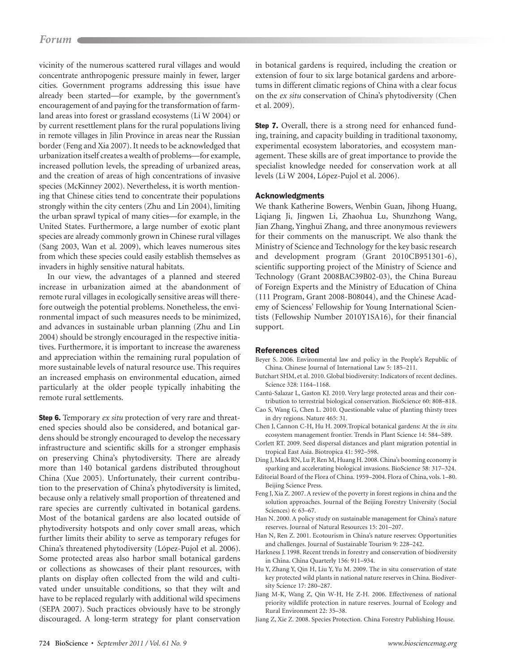# *Forum Forum*

vicinity of the numerous scattered rural villages and would concentrate anthropogenic pressure mainly in fewer, larger cities. Government programs addressing this issue have already been started—for example, by the government's encouragement of and paying for the transformation of farmland areas into forest or grassland ecosystems (Li W 2004) or by current resettlement plans for the rural populations living in remote villages in Jilin Province in areas near the Russian border (Feng and Xia 2007). It needs to be acknowledged that urbanization itself creates a wealth of problems—for example, increased pollution levels, the spreading of urbanized areas, and the creation of areas of high concentrations of invasive species (McKinney 2002). Nevertheless, it is worth mentioning that Chinese cities tend to concentrate their populations strongly within the city centers (Zhu and Lin 2004), limiting the urban sprawl typical of many cities—for example, in the United States. Furthermore, a large number of exotic plant species are already commonly grown in Chinese rural villages (Sang 2003, Wan et al. 2009), which leaves numerous sites from which these species could easily establish themselves as invaders in highly sensitive natural habitats.

In our view, the advantages of a planned and steered increase in urbanization aimed at the abandonment of remote rural villages in ecologically sensitive areas will therefore outweigh the potential problems. Nonetheless, the environmental impact of such measures needs to be minimized, and advances in sustainable urban planning (Zhu and Lin 2004) should be strongly encouraged in the respective initiatives. Furthermore, it is important to increase the awareness and appreciation within the remaining rural population of more sustainable levels of natural resource use. This requires an increased emphasis on environmental education, aimed particularly at the older people typically inhabiting the remote rural settlements.

Step 6. Temporary *ex situ* protection of very rare and threatened species should also be considered, and botanical gardens should be strongly encouraged to develop the necessary infrastructure and scientific skills for a stronger emphasis on preserving China's phytodiversity. There are already more than 140 botanical gardens distributed throughout China (Xue 2005). Unfortunately, their current contribution to the preservation of China's phytodiversity is limited, because only a relatively small proportion of threatened and rare species are currently cultivated in botanical gardens. Most of the botanical gardens are also located outside of phytodiversity hotspots and only cover small areas, which further limits their ability to serve as temporary refuges for China's threatened phytodiversity (López-Pujol et al. 2006). Some protected areas also harbor small botanical gardens or collections as showcases of their plant resources, with plants on display often collected from the wild and cultivated under unsuitable conditions, so that they wilt and have to be replaced regularly with additional wild specimens (SEPA 2007). Such practices obviously have to be strongly discouraged. A long-term strategy for plant conservation

in botanical gardens is required, including the creation or extension of four to six large botanical gardens and arboretums in different climatic regions of China with a clear focus on the *ex situ* conservation of China's phytodiversity (Chen et al. 2009).

Step 7. Overall, there is a strong need for enhanced funding, training, and capacity building in traditional taxonomy, experimental ecosystem laboratories, and ecosystem management. These skills are of great importance to provide the specialist knowledge needed for conservation work at all levels (Li W 2004, López-Pujol et al. 2006).

#### Acknowledgments

We thank Katherine Bowers, Wenbin Guan, Jihong Huang, Liqiang Ji, Jingwen Li, Zhaohua Lu, Shunzhong Wang, Jian Zhang, Yinghui Zhang, and three anonymous reviewers for their comments on the manuscript. We also thank the Ministry of Science and Technology for the key basic research and development program (Grant 2010CB951301-6), scientific supporting project of the Ministry of Science and Technology (Grant 2008BAC39B02-03), the China Bureau of Foreign Experts and the Ministry of Education of China (111 Program, Grant 2008-B08044), and the Chinese Academy of Sciencess' Fellowship for Young International Scientists (Fellowship Number 2010Y1SA16), for their financial support.

#### References cited

Beyer S. 2006. Environmental law and policy in the People's Republic of China. Chinese Journal of International Law 5: 185–211.

- Butchart SHM, et al. 2010. Global biodiversity: Indicators of recent declines. Science 328: 1164–1168.
- Cantú-Salazar L, Gaston KJ. 2010. Very large protected areas and their contribution to terrestrial biological conservation. BioScience 60: 808–818.
- Cao S, Wang G, Chen L. 2010. Questionable value of planting thirsty trees in dry regions. Nature 465: 31.
- Chen J, Cannon C-H, Hu H. 2009.Tropical botanical gardens: At the *in situ* ecosystem management frontier. Trends in Plant Science 14: 584–589.
- Corlett RT. 2009. Seed dispersal distances and plant migration potential in tropical East Asia. Biotropica 41: 592–598.
- Ding J, Mack RN, Lu P, Ren M, Huang H. 2008. China's booming economy is sparking and accelerating biological invasions. BioScience 58: 317–324.
- Editorial Board of the Flora of China. 1959–2004. Flora of China, vols. 1–80. Beijing Science Press.
- Feng J, Xia Z. 2007. A review of the poverty in forest regions in china and the solution approaches. Journal of the Beijing Forestry University (Social Sciences) 6: 63–67.
- Han N. 2000. A policy study on sustainable management for China's nature reserves. Journal of Natural Resources 15: 201–207.
- Han N, Ren Z. 2001. Ecotourism in China's nature reserves: Opportunities and challenges. Journal of Sustainable Tourism 9: 228–242.
- Harkness J. 1998. Recent trends in forestry and conservation of biodiversity in China. China Quarterly 156: 911–934.
- Hu Y, Zhang Y, Qin H, Liu Y, Yu M. 2009. The in situ conservation of state key protected wild plants in national nature reserves in China. Biodiversity Science 17: 280–287.
- Jiang M-K, Wang Z, Qin W-H, He Z-H. 2006. Effectiveness of national priority wildlife protection in nature reserves. Journal of Ecology and Rural Environment 22: 35–38.
- Jiang Z, Xie Z. 2008. Species Protection. China Forestry Publishing House.